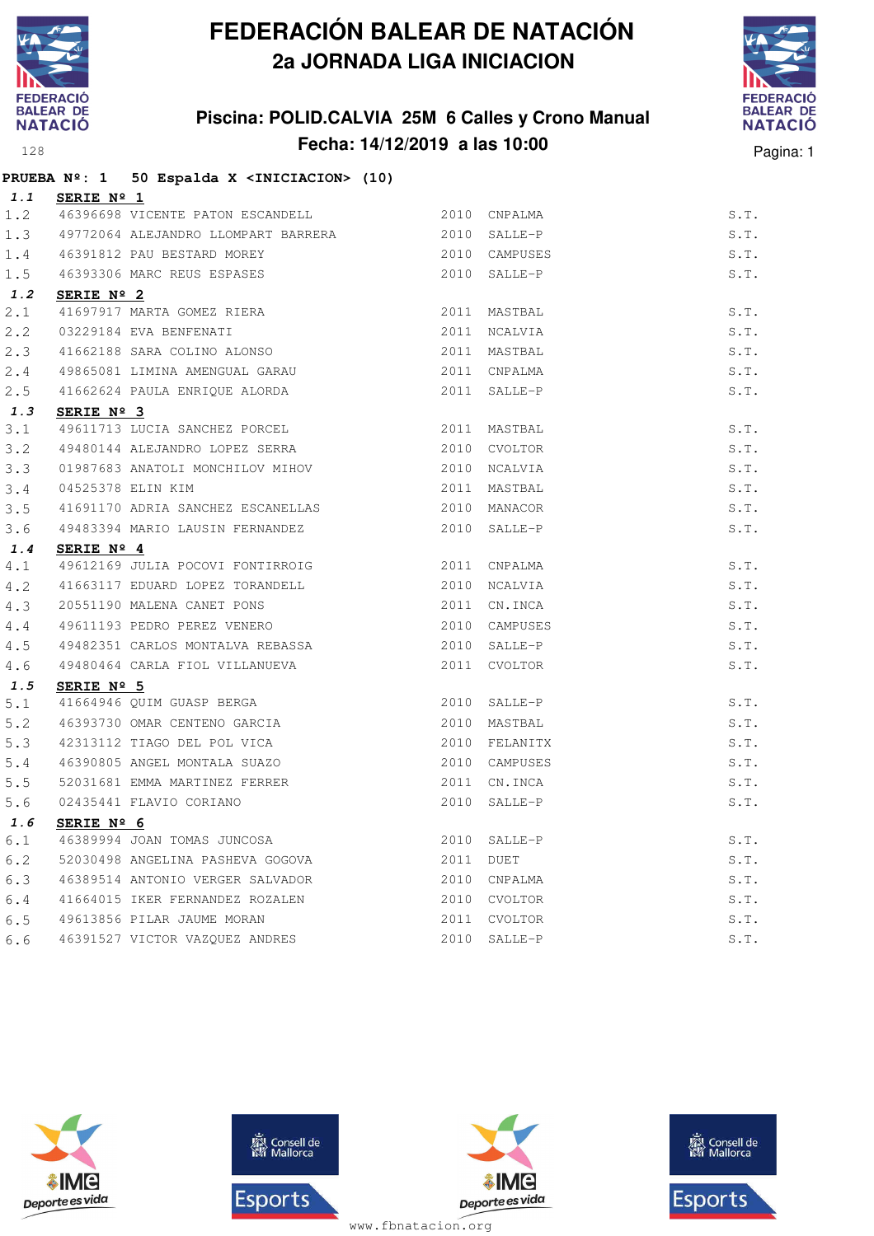

## **Piscina: POLID.CALVIA 25M 6 Calles y Crono Manual Fecha: 14/12/2019 a las 10:00** Pagina: 1



|               |                   | PRUEBA Nº: 1 50 Espalda X <iniciacion> (10)</iniciacion>                                    |      |               |      |  |
|---------------|-------------------|---------------------------------------------------------------------------------------------|------|---------------|------|--|
|               | 1.1 SERIE Nº 1    |                                                                                             |      |               |      |  |
| 1.2           |                   | 46396698 VICENTE PATON ESCANDELL 2010 CNPALMA                                               |      |               | S.T. |  |
| 1.3           |                   | 49772064 ALEJANDRO LLOMPART BARRERA 2010 SALLE-P                                            |      |               | S.T. |  |
|               |                   | 1.4 46391812 PAU BESTARD MOREY                                                              |      | 2010 CAMPUSES | S.T. |  |
| 1.5           |                   | 46391812 PAU BESTARD MOREY<br>46393306 MARC REUS ESPASES                                    |      | 2010 SALLE-P  | S.T. |  |
| 1.2           | SERIE Nº 2        |                                                                                             |      |               |      |  |
| 2.1           |                   | 41697917 MARTA GOMEZ RIERA<br>03229184 EVA BENFENATI<br>41662188 SARA COLINO ALONSO         |      | 2011 MASTBAL  | S.T. |  |
| 2.2           |                   |                                                                                             |      | 2011 NCALVIA  | S.T. |  |
| 2.3           |                   |                                                                                             |      | 2011 MASTBAL  | S.T. |  |
| 2.4           |                   |                                                                                             |      | 2011 CNPALMA  | S.T. |  |
| 2.5           |                   | 49865081 LIMINA AMENGUAL GARAU<br>41662624 PAULA ENRIQUE ALORDA                             |      | 2011 SALLE-P  | S.T. |  |
| 1.3           | SERIE Nº 3        |                                                                                             |      |               |      |  |
| 3.1           |                   | 49611713 LUCIA SANCHEZ PORCEL                                                               |      | 2011 MASTBAL  | S.T. |  |
| 3.2           |                   | 49480144 ALEJANDRO LOPEZ SERRA                                                              |      | 2010 CVOLTOR  | S.T. |  |
| 3.3           |                   | 01987683 ANATOLI MONCHILOV MIHOV                                                            |      | 2010 NCALVIA  | S.T. |  |
| 3.4           | 04525378 ELIN KIM |                                                                                             |      | 2011 MASTBAL  | S.T. |  |
| 3.5           |                   | 41691170 ADRIA SANCHEZ ESCANELLAS 2010 MANACOR                                              |      |               | S.T. |  |
| 3.6           |                   | 49483394 MARIO LAUSIN FERNANDEZ                                                             |      | 2010 SALLE-P  | S.T. |  |
| 1.4           | SERIE Nº 4        |                                                                                             |      |               |      |  |
| 4.1           |                   | 49612169 JULIA POCOVI FONTIRROIG 2011 CNPALMA                                               |      |               | S.T. |  |
| 4.2           |                   | 41663117 EDUARD LOPEZ TORANDELL 2010 NCALVIA                                                |      |               | S.T. |  |
|               |                   | 4.3 20551190 MALENA CANET PONS<br>4.4 49611193 PEDRO PEREZ VENERO                           | 2011 | CN.INCA       | S.T. |  |
|               |                   |                                                                                             |      | 2010 CAMPUSES | S.T. |  |
| 4.5           |                   | 49482351 CARLOS MONTALVA REBASSA                                                            |      | 2010 SALLE-P  | S.T. |  |
| 4.6           |                   | 49480464 CARLA FIOL VILLANUEVA                                                              |      | 2011 CVOLTOR  | S.T. |  |
| 1.5           | SERIE Nº 5        |                                                                                             |      |               |      |  |
| 5.1           |                   | 41664946 QUIM GUASP BERGA<br>46393730 OMAR CENTRYS SIREES                                   |      | 2010 SALLE-P  | S.T. |  |
| 5.2           |                   |                                                                                             |      | 2010 MASTBAL  | S.T. |  |
| 5.3           |                   | 46393730 OMAR CENTENO GARCIA<br>42313112 TIAGO DEL POL VICA<br>46390805 ANGEL MONTALA SUAZO |      | 2010 FELANITX | S.T. |  |
| 5.4           |                   |                                                                                             |      | 2010 CAMPUSES | S.T. |  |
| 5.5           |                   | 52031681 EMMA MARTINEZ FERRER                                                               |      | 2011 CN.INCA  | S.T. |  |
| 5.6           |                   | 02435441 FLAVIO CORIANO                                                                     |      | 2010 SALLE-P  | S.T. |  |
| 1.6           | SERIE Nº 6        |                                                                                             |      |               |      |  |
| $6 \, . \, 1$ |                   | 46389994 JOAN TOMAS JUNCOSA                                                                 | 2010 | SALLE-P       | S.T. |  |
| 6.2           |                   | 52030498 ANGELINA PASHEVA GOGOVA                                                            | 2011 | DUET          | S.T. |  |
| 6.3           |                   | 46389514 ANTONIO VERGER SALVADOR                                                            | 2010 | CNPALMA       | S.T. |  |
| 6.4           |                   | 41664015 IKER FERNANDEZ ROZALEN                                                             | 2010 | CVOLTOR       | S.T. |  |
| 6.5           |                   | 49613856 PILAR JAUME MORAN                                                                  | 2011 | CVOLTOR       | S.T. |  |
| 6.6           |                   | 46391527 VICTOR VAZQUEZ ANDRES                                                              | 2010 | SALLE-P       | S.T. |  |







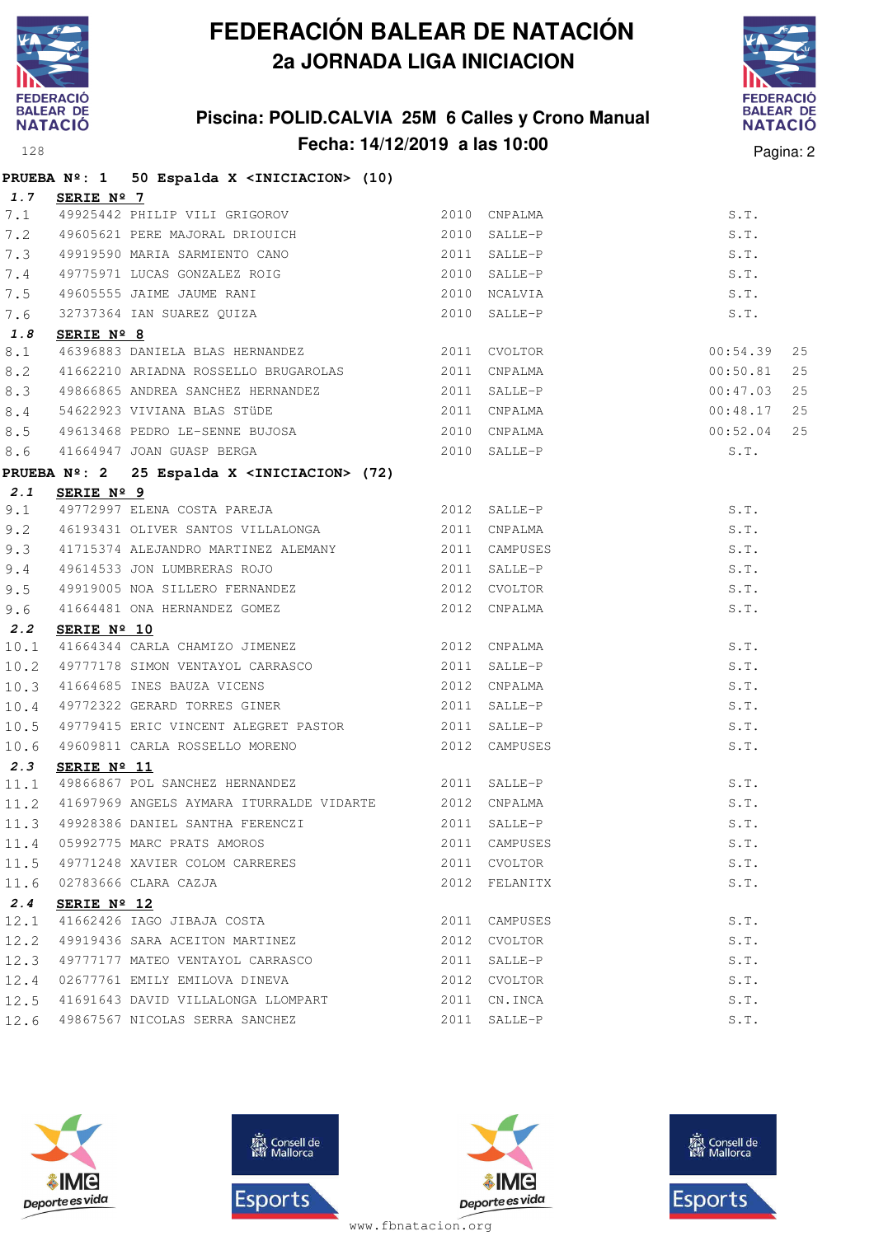

## **Piscina: POLID.CALVIA 25M 6 Calles y Crono Manual Fecha: 14/12/2019 a las 10:00** Pagina: 2



|              |                      | PRUEBA Nº: 1 50 Espalda X <iniciacion> (10)</iniciacion>                                                                                                                                                                                      |                               |                                |
|--------------|----------------------|-----------------------------------------------------------------------------------------------------------------------------------------------------------------------------------------------------------------------------------------------|-------------------------------|--------------------------------|
| 1.7          | SERIE Nº 7           |                                                                                                                                                                                                                                               |                               |                                |
|              |                      |                                                                                                                                                                                                                                               |                               | S.T.                           |
|              |                      |                                                                                                                                                                                                                                               |                               | S.T.                           |
| 7.3          |                      |                                                                                                                                                                                                                                               |                               | S.T.                           |
| 7.4          |                      |                                                                                                                                                                                                                                               |                               | S.T.                           |
| 7.5          |                      |                                                                                                                                                                                                                                               |                               | S.T.                           |
| 7.6          |                      | 49605555 JAIME JAUME RANI<br>32737364 IAN SUAREZ QUIZA<br><b>AUDEL ANGLICA SUAREZ QUIZA</b><br>AUDEL ANGLICA SALLE-P                                                                                                                          |                               | S.T.                           |
| 1.8          | SERIE Nº 8           |                                                                                                                                                                                                                                               |                               |                                |
| 8.1          |                      | 2011 CVOLTOR<br>46396883 DANIELA BLAS HERNANDEZ<br>41662210 ARIADNA ROSSELLO BRUGAROLAS 2011 CNPALMA                                                                                                                                          |                               | 25<br>00:54.39                 |
| 8.2          |                      |                                                                                                                                                                                                                                               |                               | 00:50.81<br>25                 |
|              |                      | 8.3 49866865 ANDREA SANCHEZ HERNANDEZ 2011 SALLE-P                                                                                                                                                                                            |                               | 25<br>00:47.03                 |
|              |                      |                                                                                                                                                                                                                                               |                               | $00:48.17$<br>$00:52.04$<br>25 |
|              |                      |                                                                                                                                                                                                                                               |                               | 25                             |
| 8.6          |                      | 41664947 JOAN GUASP BERGA 2010 SALLE-P                                                                                                                                                                                                        |                               | S.T.                           |
|              |                      | PRUEBA Nº: 2 25 Espalda X <iniciacion> (72)</iniciacion>                                                                                                                                                                                      |                               |                                |
| 2.1          | SERIE Nº 9           |                                                                                                                                                                                                                                               |                               |                                |
| 9.1          |                      | 49772997 ELENA COSTA PAREJA<br>49772997 ELENA COSTA PAREJA (2012 SALLE-P                                                                                                                                                                      |                               | S.T.                           |
| 9.2          |                      | 46193431 OLIVER SANTOS VILLALONGA 6193431 CNPALMA                                                                                                                                                                                             |                               | S.T.                           |
|              |                      | 9.3 41715374 ALEJANDRO MARTINEZ ALEMANY 62011 CAMPUSES                                                                                                                                                                                        |                               | S.T.                           |
|              |                      | 9.3 = 1/133/1 ALLOWING ARRIVAL ARRIVAL CONTROL 2011 SALLE-P<br>9.5 = 49919005 NOA SILLERO FERNANDEZ 2012 CVOLTOR                                                                                                                              |                               | S.T.                           |
|              |                      |                                                                                                                                                                                                                                               |                               | S.T.                           |
|              |                      |                                                                                                                                                                                                                                               |                               | S.T.                           |
| 2.2          | SERIE Nº 10          | 41664344 CARLA CHAMIZO JIMENEZ 2012 CNPALMA                                                                                                                                                                                                   |                               |                                |
| 10.1         |                      |                                                                                                                                                                                                                                               |                               | S.T.                           |
|              |                      | $\begin{array}{cccc} \texttt{10.2} & \texttt{49777178} & \texttt{SIMON VENTAYOL CARRASCO} & \texttt{2011} & \texttt{SALLE-P} \\ \texttt{10.3} & \texttt{41664685} & \texttt{INES BAUZA VICES} & \texttt{2012} & \texttt{CNPALMA} \end{array}$ |                               | S.T.                           |
|              |                      |                                                                                                                                                                                                                                               |                               | S.T.                           |
|              |                      | 10.4 49772322 GERARD TORRES GINER 2011 SALLE-P                                                                                                                                                                                                |                               | S.T.                           |
| 10.5         |                      | 49779415 ERIC VINCENT ALEGRET PASTOR 2011 SALLE-P                                                                                                                                                                                             |                               | S.T.                           |
| 10.6         |                      | 49609811 CARLA ROSSELLO MORENO 2012 CAMPUSES                                                                                                                                                                                                  |                               | S.T.                           |
| 2.3          | SERIE Nº 11          | 11.1 49866867 POL SANCHEZ HERNANDEZ 2011 SALLE-P                                                                                                                                                                                              |                               | S.T.                           |
|              |                      | 11.2 41697969 ANGELS AYMARA ITURRALDE VIDARTE 2012 CNPALMA                                                                                                                                                                                    |                               | S.T.                           |
|              |                      | $\vert$ 11.3 49928386 DANIEL SANTHA FERENCZI 2011 SALLE-P S.T.                                                                                                                                                                                |                               |                                |
|              |                      | 05992775 MARC PRATS AMOROS                                                                                                                                                                                                                    |                               |                                |
| 11.4         |                      | 49771248 XAVIER COLOM CARRERES                                                                                                                                                                                                                | 2011 CAMPUSES<br>2011 CVOLTOR | S.T.                           |
| 11.5<br>11.6 |                      | 02783666 CLARA CAZJA                                                                                                                                                                                                                          | 2012 FELANITX                 | S.T.                           |
| 2.4          |                      |                                                                                                                                                                                                                                               |                               | S.T.                           |
| 12.1         | SERIE $N^{\circ}$ 12 | 41662426 IAGO JIBAJA COSTA                                                                                                                                                                                                                    | 2011 CAMPUSES                 | S.T.                           |
| 12.2         |                      | 49919436 SARA ACEITON MARTINEZ                                                                                                                                                                                                                | 2012 CVOLTOR                  | S.T.                           |
| 12.3         |                      | 49777177 MATEO VENTAYOL CARRASCO                                                                                                                                                                                                              | 2011 SALLE-P                  | S.T.                           |
| 12.4         |                      | 02677761 EMILY EMILOVA DINEVA                                                                                                                                                                                                                 | 2012 CVOLTOR                  | S.T.                           |
| 12.5         |                      | 41691643 DAVID VILLALONGA LLOMPART                                                                                                                                                                                                            | 2011 CN.INCA                  | S.T.                           |
| 12.6         |                      | 49867567 NICOLAS SERRA SANCHEZ                                                                                                                                                                                                                | 2011 SALLE-P                  | S.T.                           |
|              |                      |                                                                                                                                                                                                                                               |                               |                                |







**感** Consell de Esports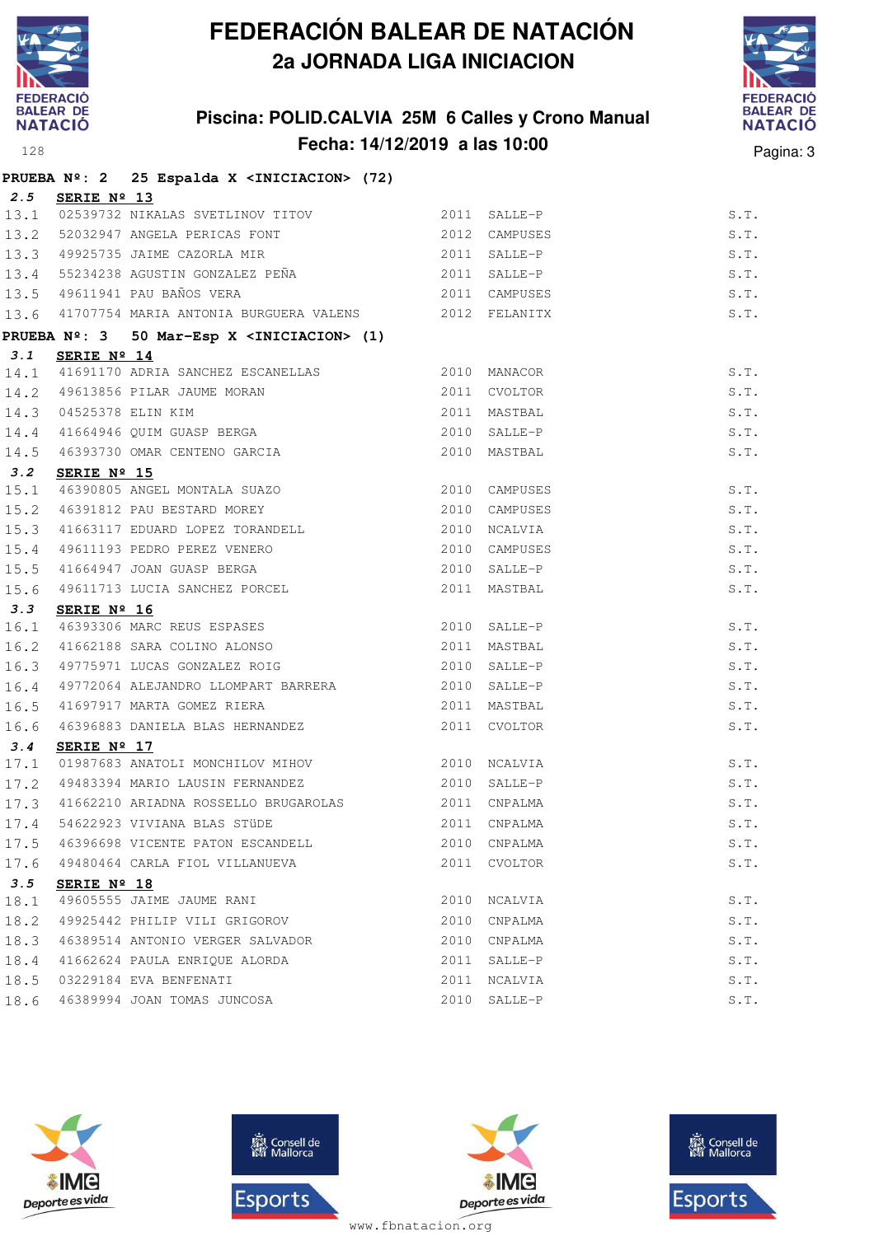

## **Piscina: POLID.CALVIA 25M 6 Calles y Crono Manual Fecha: 14/12/2019 a las 10:00** Pagina: 3



|      |                      | PRUEBA Nº: 2 25 Espalda X <iniciacion> (72)</iniciacion>                                                                         |               |               |      |
|------|----------------------|----------------------------------------------------------------------------------------------------------------------------------|---------------|---------------|------|
|      | 2.5 SERIE Nº 13      |                                                                                                                                  |               |               |      |
|      |                      | 13.1 02539732 NIKALAS SVETLINOV TITOV 2011 SALLE-P                                                                               |               |               | S.T. |
|      |                      | 13.2 52032947 ANGELA PERICAS FONT 2012 CAMPUSES<br>13.3 49925735 JAIME CAZORLA MIR 2011 SALLE-P                                  |               | 2012 CAMPUSES | S.T. |
|      |                      |                                                                                                                                  |               |               | S.T. |
|      |                      |                                                                                                                                  |               |               | S.T. |
|      |                      | 13.4 55234238 AGUSTIN GONZALEZ PEÑA (2011 SALLE-P)<br>13.5 49611941 PAU BAÑOS VERA (2011 CAMPUSES                                |               | 2011 CAMPUSES | S.T. |
|      |                      | 13.6 41707754 MARIA ANTONIA BURGUERA VALENS 2012 FELANITX                                                                        |               |               | S.T. |
|      |                      | PRUEBA Nº: 3 50 Mar-Esp X <iniciacion> (1)</iniciacion>                                                                          |               |               |      |
| 3.1  | SERIE $N^{\circ}$ 14 |                                                                                                                                  |               |               |      |
|      |                      | 14.1 41691170 ADRIA SANCHEZ ESCANELLAS 2010 MANACOR                                                                              |               |               | S.T. |
|      |                      |                                                                                                                                  |               | 2011 CVOLTOR  | S.T. |
|      |                      |                                                                                                                                  |               | 2011 MASTBAL  | S.T. |
|      |                      |                                                                                                                                  |               | 2010 SALLE-P  | S.T. |
|      |                      | 14.2 49613856 PILAR JAUME MORAN<br>14.3 04525378 ELIN KIM<br>14.4 41664946 QUIM GUASP BERGA<br>14.5 46393730 OMAR CENTENO GARCIA |               | 2010 MASTBAL  | S.T. |
| 3.2  | SERIE Nº 15          |                                                                                                                                  |               |               |      |
|      |                      | 3.2 SERIE Nº 15<br>15.1 46390805 ANGEL MONTALA SUAZO<br>15.2 46391812 PAU BESTARD MOREY                                          |               | 2010 CAMPUSES | S.T. |
|      |                      |                                                                                                                                  | 2010 CAMPUSES |               | S.T. |
| 15.3 |                      | 41663117 EDUARD LOPEZ TORANDELL 2010 NCALVIA                                                                                     |               |               | S.T. |
| 15.4 |                      |                                                                                                                                  |               | 2010 CAMPUSES | S.T. |
| 15.5 |                      |                                                                                                                                  |               | 2010 SALLE-P  | S.T. |
| 15.6 |                      | 49611193 PEDRO PEREZ VENERO<br>41664947 JOAN GUASP BERGA<br>49611713 LUCIA SANCHEZ PORCEL                                        |               | 2011 MASTBAL  | S.T. |
|      |                      |                                                                                                                                  |               |               |      |
|      |                      | 3.3 SERIE Nº 16<br>16.1 46393306 MARC REUS ESPASES<br>16.2 41662188 SARA COLINO ALONSO<br>16.3 49775971 LUCAS GONZALEZ ROIG      |               | 2010 SALLE-P  | S.T. |
|      |                      |                                                                                                                                  |               | 2011 MASTBAL  | S.T. |
|      |                      |                                                                                                                                  |               | 2010 SALLE-P  | S.T. |
| 16.4 |                      | 49772064 ALEJANDRO LLOMPART BARRERA 2010 SALLE-P                                                                                 |               |               | S.T. |
| 16.5 |                      | 41697917 MARTA GOMEZ RIERA                                                                                                       | 2011 MASTBAL  |               | S.T. |
| 16.6 |                      | 46396883 DANIELA BLAS HERNANDEZ                                                                                                  |               | 2011 CVOLTOR  | S.T. |
| 3.4  | SERIE Nº 17          |                                                                                                                                  |               |               |      |
| 17.1 |                      |                                                                                                                                  |               |               | S.T. |
|      |                      | 17.2 49483394 MARIO LAUSIN FERNANDEZ 2010                                                                                        |               | SALLE-P       | S.T. |
|      |                      | 17.3 41662210 ARIADNA ROSSELLO BRUGAROLAS 2011 CNPALMA                                                                           |               |               | S.T. |
|      |                      | 17.4 54622923 VIVIANA BLAS STÜDE                                                                                                 |               | 2011 CNPALMA  | S.T. |
| 17.5 |                      | 46396698 VICENTE PATON ESCANDELL                                                                                                 | 2010          | CNPALMA       | S.T. |
| 17.6 |                      | 49480464 CARLA FIOL VILLANUEVA                                                                                                   | 2011          | CVOLTOR       | S.T. |
| 3.5  | SERIE Nº 18          |                                                                                                                                  |               |               |      |
| 18.1 |                      | 49605555 JAIME JAUME RANI                                                                                                        |               | 2010 NCALVIA  | S.T. |
| 18.2 |                      | 49925442 PHILIP VILI GRIGOROV                                                                                                    | 2010          | CNPALMA       | S.T. |
| 18.3 |                      | 46389514 ANTONIO VERGER SALVADOR                                                                                                 | 2010          | CNPALMA       | S.T. |
| 18.4 |                      | 41662624 PAULA ENRIQUE ALORDA                                                                                                    | 2011          | SALLE-P       | S.T. |
| 18.5 |                      | 03229184 EVA BENFENATI                                                                                                           | 2011          | NCALVIA       | S.T. |
| 18.6 |                      | 46389994 JOAN TOMAS JUNCOSA                                                                                                      | 2010          | SALLE-P       | S.T. |